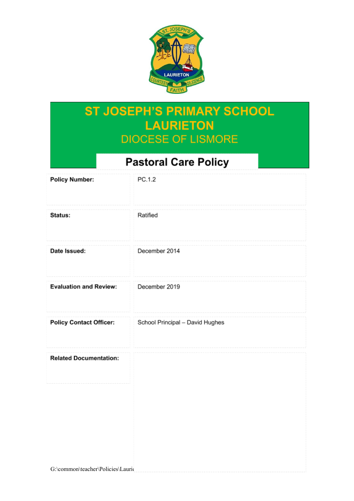

# **ST JOSEPH'S PRIMARY SCHOOL LAURIETON DIOCESE OF LISMORE**

# **Pastoral Care Policy**

| <b>Policy Number:</b>             | PC.1.2                          |
|-----------------------------------|---------------------------------|
| Status:                           | Ratified                        |
| Date Issued:                      | December 2014                   |
| <b>Evaluation and Review:</b>     | December 2019                   |
| <b>Policy Contact Officer:</b>    | School Principal - David Hughes |
| <b>Related Documentation:</b>     |                                 |
|                                   |                                 |
|                                   |                                 |
| G:\common\teacher\Policies\Laurid |                                 |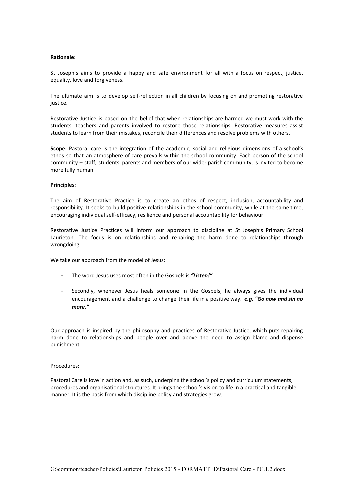## **Rationale:**

St Joseph's aims to provide a happy and safe environment for all with a focus on respect, justice, equality, love and forgiveness.

The ultimate aim is to develop self-reflection in all children by focusing on and promoting restorative justice.

Restorative Justice is based on the belief that when relationships are harmed we must work with the students, teachers and parents involved to restore those relationships. Restorative measures assist students to learn from their mistakes, reconcile their differences and resolve problems with others.

**Scope:** Pastoral care is the integration of the academic, social and religious dimensions of a school's ethos so that an atmosphere of care prevails within the school community. Each person of the school community – staff, students, parents and members of our wider parish community, is invited to become more fully human.

#### **Principles:**

The aim of Restorative Practice is to create an ethos of respect, inclusion, accountability and responsibility. It seeks to build positive relationships in the school community, while at the same time, encouraging individual self-efficacy, resilience and personal accountability for behaviour.

Restorative Justice Practices will inform our approach to discipline at St Joseph's Primary School Laurieton. The focus is on relationships and repairing the harm done to relationships through wrongdoing.

We take our approach from the model of Jesus:

- The word Jesus uses most often in the Gospels is *"Listen!"*
- Secondly, whenever Jesus heals someone in the Gospels, he always gives the individual encouragement and a challenge to change their life in a positive way. *e.g. "Go now and sin no more."*

Our approach is inspired by the philosophy and practices of Restorative Justice, which puts repairing harm done to relationships and people over and above the need to assign blame and dispense punishment.

#### Procedures:

Pastoral Care is love in action and, as such, underpins the school's policy and curriculum statements, procedures and organisational structures. It brings the school's vision to life in a practical and tangible manner. It is the basis from which discipline policy and strategies grow.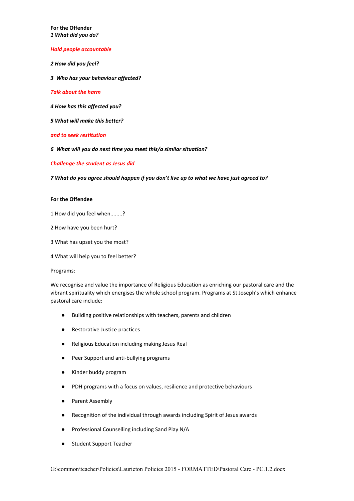**For the Offender** *1 What did you do?*

*Hold people accountable*

*2 How did you feel?*

*3 Who has your behaviour affected?*

*Talk about the harm*

*4 How has this affected you?*

*5 What will make this better?*

*and to seek restitution*

*6 What will you do next time you meet this/a similar situation?*

*Challenge the student as Jesus did*

*7 What do you agree should happen if you don't live up to what we have just agreed to?*

## **For the Offendee**

1 How did you feel when........?

2 How have you been hurt?

3 What has upset you the most?

4 What will help you to feel better?

Programs:

We recognise and value the importance of Religious Education as enriching our pastoral care and the vibrant spirituality which energises the whole school program. Programs at St Joseph's which enhance pastoral care include:

- Building positive relationships with teachers, parents and children
- Restorative Justice practices
- Religious Education including making Jesus Real
- Peer Support and anti-bullying programs
- Kinder buddy program
- PDH programs with a focus on values, resilience and protective behaviours
- Parent Assembly
- Recognition of the individual through awards including Spirit of Jesus awards
- Professional Counselling including Sand Play N/A
- Student Support Teacher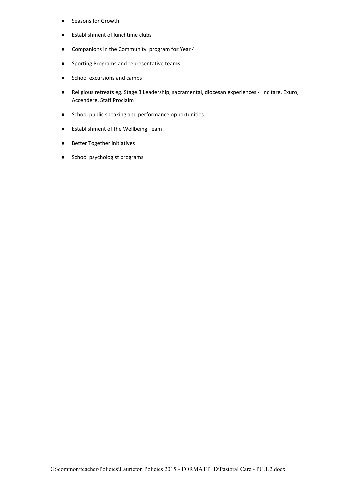- Seasons for Growth
- **Establishment of lunchtime clubs**
- Companions in the Community program for Year 4
- Sporting Programs and representative teams
- School excursions and camps
- Religious retreats eg. Stage 3 Leadership, sacramental, diocesan experiences Incitare, Exuro, Accendere, Staff Proclaim
- School public speaking and performance opportunities
- Establishment of the Wellbeing Team
- Better Together initiatives
- School psychologist programs